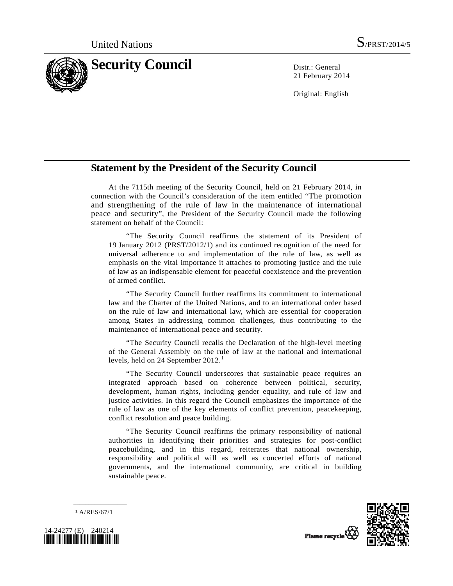

21 February 2014

Original: English

## **Statement by the President of the Security Council**

 At the 7115th meeting of the Security Council, held on 21 February 2014, in connection with the Council's consideration of the item entitled "The promotion and strengthening of the rule of law in the maintenance of international peace and security", the President of the Security Council made the following statement on behalf of the Council:

 "The Security Council reaffirms the statement of its President of 19 January 2012 (PRST/2012/1) and its continued recognition of the need for universal adherence to and implementation of the rule of law, as well as emphasis on the vital importance it attaches to promoting justice and the rule of law as an indispensable element for peaceful coexistence and the prevention of armed conflict.

 "The Security Council further reaffirms its commitment to international law and the Charter of the United Nations, and to an international order based on the rule of law and international law, which are essential for cooperation among States in addressing common challenges, thus contributing to the maintenance of international peace and security.

 "The Security Council recalls the Declaration of the high-level meeting of the General Assembly on the rule of law at the national and international levels, held on 24 September  $2012.<sup>1</sup>$  $2012.<sup>1</sup>$  $2012.<sup>1</sup>$ 

 "The Security Council underscores that sustainable peace requires an integrated approach based on coherence between political, security, development, human rights, including gender equality, and rule of law and justice activities. In this regard the Council emphasizes the importance of the rule of law as one of the key elements of conflict prevention, peacekeeping, conflict resolution and peace building.

 "The Security Council reaffirms the primary responsibility of national authorities in identifying their priorities and strategies for post-conflict peacebuilding, and in this regard, reiterates that national ownership, responsibility and political will as well as concerted efforts of national governments, and the international community, are critical in building sustainable peace.

1 A/RES/67/1

**\_\_\_\_\_\_\_\_\_\_\_\_\_\_\_\_\_\_** 



Please recycle

<span id="page-0-0"></span>24277 (E) 240214 *\*1424277\**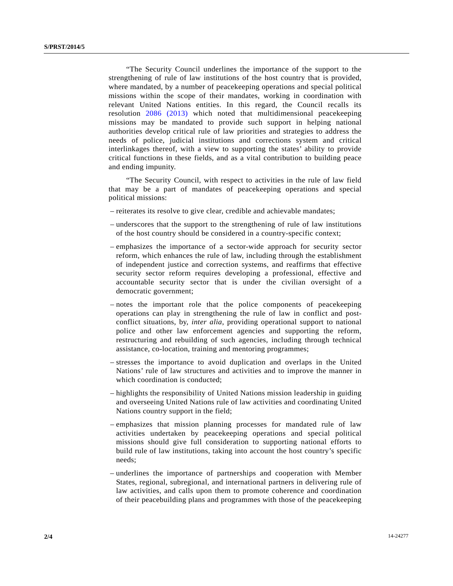"The Security Council underlines the importance of the support to the strengthening of rule of law institutions of the host country that is provided, where mandated, by a number of peacekeeping operations and special political missions within the scope of their mandates, working in coordination with relevant United Nations entities. In this regard, the Council recalls its resolution [2086 \(2013\)](http://undocs.org/S/RES/2086(2013)) which noted that multidimensional peacekeeping missions may be mandated to provide such support in helping national authorities develop critical rule of law priorities and strategies to address the needs of police, judicial institutions and corrections system and critical interlinkages thereof, with a view to supporting the states' ability to provide critical functions in these fields, and as a vital contribution to building peace and ending impunity.

 "The Security Council, with respect to activities in the rule of law field that may be a part of mandates of peacekeeping operations and special political missions:

- reiterates its resolve to give clear, credible and achievable mandates;
- underscores that the support to the strengthening of rule of law institutions of the host country should be considered in a country-specific context;
- emphasizes the importance of a sector-wide approach for security sector reform, which enhances the rule of law, including through the establishment of independent justice and correction systems, and reaffirms that effective security sector reform requires developing a professional, effective and accountable security sector that is under the civilian oversight of a democratic government;
- notes the important role that the police components of peacekeeping operations can play in strengthening the rule of law in conflict and postconflict situations, by, *inter alia*, providing operational support to national police and other law enforcement agencies and supporting the reform, restructuring and rebuilding of such agencies, including through technical assistance, co-location, training and mentoring programmes;
- stresses the importance to avoid duplication and overlaps in the United Nations' rule of law structures and activities and to improve the manner in which coordination is conducted;
- highlights the responsibility of United Nations mission leadership in guiding and overseeing United Nations rule of law activities and coordinating United Nations country support in the field;
- emphasizes that mission planning processes for mandated rule of law activities undertaken by peacekeeping operations and special political missions should give full consideration to supporting national efforts to build rule of law institutions, taking into account the host country's specific needs;
- underlines the importance of partnerships and cooperation with Member States, regional, subregional, and international partners in delivering rule of law activities, and calls upon them to promote coherence and coordination of their peacebuilding plans and programmes with those of the peacekeeping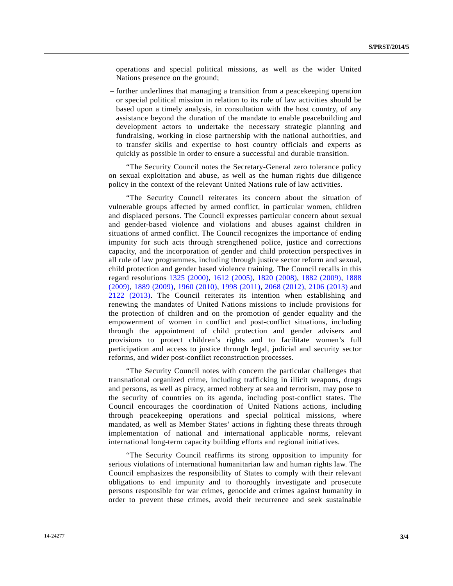operations and special political missions, as well as the wider United Nations presence on the ground;

 – further underlines that managing a transition from a peacekeeping operation or special political mission in relation to its rule of law activities should be based upon a timely analysis, in consultation with the host country, of any assistance beyond the duration of the mandate to enable peacebuilding and development actors to undertake the necessary strategic planning and fundraising, working in close partnership with the national authorities, and to transfer skills and expertise to host country officials and experts as quickly as possible in order to ensure a successful and durable transition.

 "The Security Council notes the Secretary-General zero tolerance policy on sexual exploitation and abuse, as well as the human rights due diligence policy in the context of the relevant United Nations rule of law activities.

 "The Security Council reiterates its concern about the situation of vulnerable groups affected by armed conflict, in particular women, children and displaced persons. The Council expresses particular concern about sexual and gender-based violence and violations and abuses against children in situations of armed conflict. The Council recognizes the importance of ending impunity for such acts through strengthened police, justice and corrections capacity, and the incorporation of gender and child protection perspectives in all rule of law programmes, including through justice sector reform and sexual, child protection and gender based violence training. The Council recalls in this regard resolutions [1325 \(2000\)](http://undocs.org/S/RES/1325(2000)), [1612 \(2005\),](http://undocs.org/S/RES/1612(2005)) [1820 \(2008\),](http://undocs.org/S/RES/1820(2008)) [1882 \(2009\)](http://undocs.org/S/RES/1882(2009)), [1888](http://undocs.org/S/RES/1888(2009))  [\(2009\)](http://undocs.org/S/RES/1888(2009)), [1889 \(2009\),](http://undocs.org/S/RES/1889(2009)) [1960 \(2010\),](http://undocs.org/S/RES/1960(2010)) [1998 \(2011\)](http://undocs.org/S/RES/1998(2011)), [2068 \(2012\)](http://undocs.org/S/RES/2068(2012)), [2106 \(2013\)](http://undocs.org/S/RES/2106(2013)) and [2122 \(2013\).](http://undocs.org/S/RES/2122(2013)) The Council reiterates its intention when establishing and renewing the mandates of United Nations missions to include provisions for the protection of children and on the promotion of gender equality and the empowerment of women in conflict and post-conflict situations, including through the appointment of child protection and gender advisers and provisions to protect children's rights and to facilitate women's full participation and access to justice through legal, judicial and security sector reforms, and wider post-conflict reconstruction processes.

 "The Security Council notes with concern the particular challenges that transnational organized crime, including trafficking in illicit weapons, drugs and persons, as well as piracy, armed robbery at sea and terrorism, may pose to the security of countries on its agenda, including post-conflict states. The Council encourages the coordination of United Nations actions, including through peacekeeping operations and special political missions, where mandated, as well as Member States' actions in fighting these threats through implementation of national and international applicable norms, relevant international long-term capacity building efforts and regional initiatives.

 "The Security Council reaffirms its strong opposition to impunity for serious violations of international humanitarian law and human rights law. The Council emphasizes the responsibility of States to comply with their relevant obligations to end impunity and to thoroughly investigate and prosecute persons responsible for war crimes, genocide and crimes against humanity in order to prevent these crimes, avoid their recurrence and seek sustainable